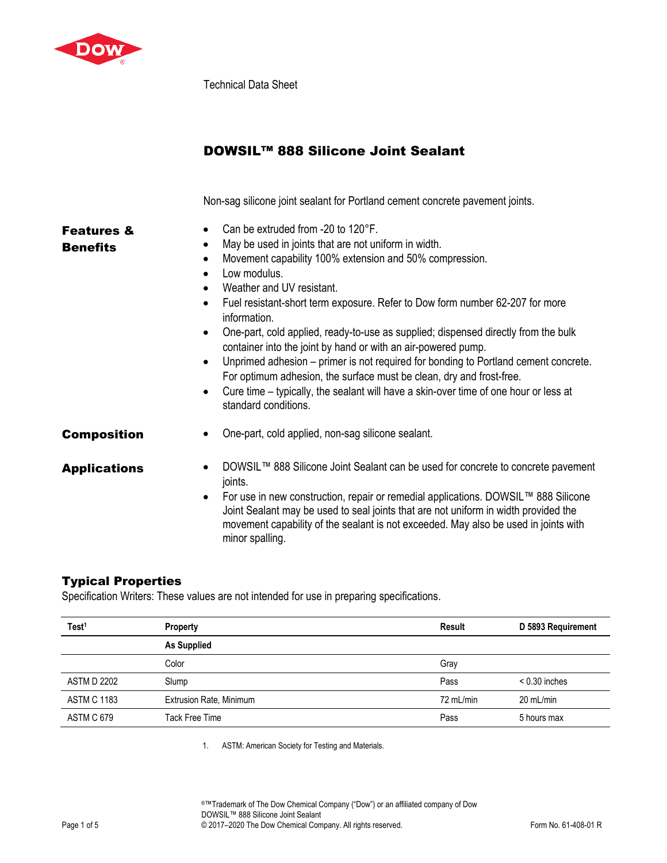

Technical Data Sheet

## DOWSIL™ 888 Silicone Joint Sealant

Non-sag silicone joint sealant for Portland cement concrete pavement joints.

| <b>Features &amp;</b><br><b>Benefits</b> | Can be extruded from -20 to 120°F.<br>May be used in joints that are not uniform in width.<br>$\bullet$<br>Movement capability 100% extension and 50% compression.<br>$\bullet$<br>Low modulus.<br>Weather and UV resistant.<br>Fuel resistant-short term exposure. Refer to Dow form number 62-207 for more<br>$\bullet$<br>information.<br>One-part, cold applied, ready-to-use as supplied; dispensed directly from the bulk<br>٠<br>container into the joint by hand or with an air-powered pump.<br>Unprimed adhesion – primer is not required for bonding to Portland cement concrete.<br>For optimum adhesion, the surface must be clean, dry and frost-free.<br>Cure time – typically, the sealant will have a skin-over time of one hour or less at<br>$\bullet$<br>standard conditions. |
|------------------------------------------|---------------------------------------------------------------------------------------------------------------------------------------------------------------------------------------------------------------------------------------------------------------------------------------------------------------------------------------------------------------------------------------------------------------------------------------------------------------------------------------------------------------------------------------------------------------------------------------------------------------------------------------------------------------------------------------------------------------------------------------------------------------------------------------------------|
| <b>Composition</b>                       | One-part, cold applied, non-sag silicone sealant.                                                                                                                                                                                                                                                                                                                                                                                                                                                                                                                                                                                                                                                                                                                                                 |
| <b>Applications</b>                      | DOWSIL™ 888 Silicone Joint Sealant can be used for concrete to concrete pavement<br>joints.<br>For use in new construction, repair or remedial applications. DOWSIL™ 888 Silicone<br>٠<br>Joint Sealant may be used to seal joints that are not uniform in width provided the<br>movement capability of the sealant is not exceeded. May also be used in joints with<br>minor spalling.                                                                                                                                                                                                                                                                                                                                                                                                           |

## Typical Properties

Specification Writers: These values are not intended for use in preparing specifications.

| Test <sup>1</sup>  | <b>Property</b>                | Result    | D 5893 Requirement |
|--------------------|--------------------------------|-----------|--------------------|
|                    | <b>As Supplied</b>             |           |                    |
|                    | Color                          | Gray      |                    |
| <b>ASTM D 2202</b> | Slump                          | Pass      | $< 0.30$ inches    |
| <b>ASTM C 1183</b> | <b>Extrusion Rate, Minimum</b> | 72 mL/min | 20 mL/min          |
| ASTM C 679         | Tack Free Time                 | Pass      | 5 hours max        |

1. ASTM: American Society for Testing and Materials.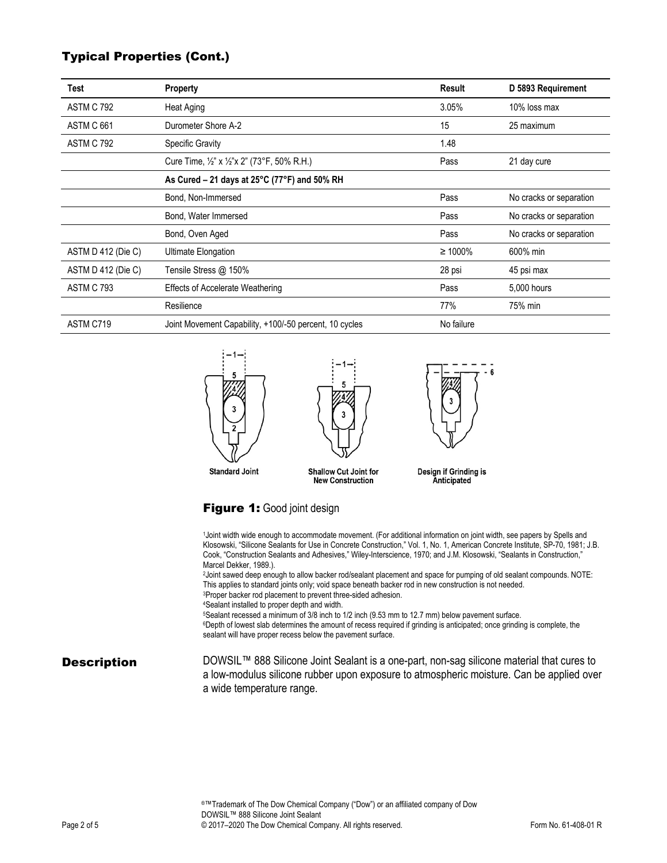## Typical Properties (Cont.)

| Test               | <b>Property</b>                                                   | Result        | D 5893 Requirement      |  |
|--------------------|-------------------------------------------------------------------|---------------|-------------------------|--|
| <b>ASTM C 792</b>  | Heat Aging                                                        | 3.05%         | 10% loss max            |  |
| ASTM C 661         | Durometer Shore A-2                                               | 15            | 25 maximum              |  |
| ASTM C 792         | <b>Specific Gravity</b>                                           | 1.48          |                         |  |
|                    | Cure Time, $\frac{1}{2}$ " x $\frac{1}{2}$ "x 2" (73°F, 50% R.H.) | Pass          | 21 day cure             |  |
|                    | As Cured – 21 days at $25^{\circ}$ C (77 $^{\circ}$ F) and 50% RH |               |                         |  |
|                    | Bond, Non-Immersed                                                | Pass          | No cracks or separation |  |
|                    | Bond, Water Immersed                                              | Pass          | No cracks or separation |  |
|                    | Bond, Oven Aged                                                   | Pass          | No cracks or separation |  |
| ASTM D 412 (Die C) | Ultimate Elongation                                               | $\geq 1000\%$ | 600% min                |  |
| ASTM D 412 (Die C) | Tensile Stress @ 150%                                             | 28 psi        | 45 psi max              |  |
| ASTM C 793         | <b>Effects of Accelerate Weathering</b>                           | Pass          | 5,000 hours             |  |
|                    | Resilience                                                        | 77%           | 75% min                 |  |
| ASTM C719          | Joint Movement Capability, +100/-50 percent, 10 cycles            | No failure    |                         |  |



## Figure 1: Good joint design

|                    | 1Joint width wide enough to accommodate movement. (For additional information on joint width, see papers by Spells and<br>Klosowski, "Silicone Sealants for Use in Concrete Construction," Vol. 1, No. 1, American Concrete Institute, SP-70, 1981; J.B.<br>Cook, "Construction Sealants and Adhesives," Wiley-Interscience, 1970; and J.M. Klosowski, "Sealants in Construction,"<br>Marcel Dekker, 1989.).<br>2 Joint sawed deep enough to allow backer rod/sealant placement and space for pumping of old sealant compounds. NOTE:<br>This applies to standard joints only; void space beneath backer rod in new construction is not needed. |  |  |  |  |
|--------------------|-------------------------------------------------------------------------------------------------------------------------------------------------------------------------------------------------------------------------------------------------------------------------------------------------------------------------------------------------------------------------------------------------------------------------------------------------------------------------------------------------------------------------------------------------------------------------------------------------------------------------------------------------|--|--|--|--|
|                    | <sup>3</sup> Proper backer rod placement to prevent three-sided adhesion.<br><sup>4</sup> Sealant installed to proper depth and width.<br>5Sealant recessed a minimum of 3/8 inch to 1/2 inch (9.53 mm to 12.7 mm) below pavement surface.<br><sup>6</sup> Depth of lowest slab determines the amount of recess required if grinding is anticipated; once grinding is complete, the<br>sealant will have proper recess below the pavement surface.                                                                                                                                                                                              |  |  |  |  |
| <b>Description</b> | DOWSIL™ 888 Silicone Joint Sealant is a one-part, non-sag silicone material that cures to<br>a low-modulus silicone rubber upon exposure to atmospheric moisture. Can be applied over<br>a wide temperature range.                                                                                                                                                                                                                                                                                                                                                                                                                              |  |  |  |  |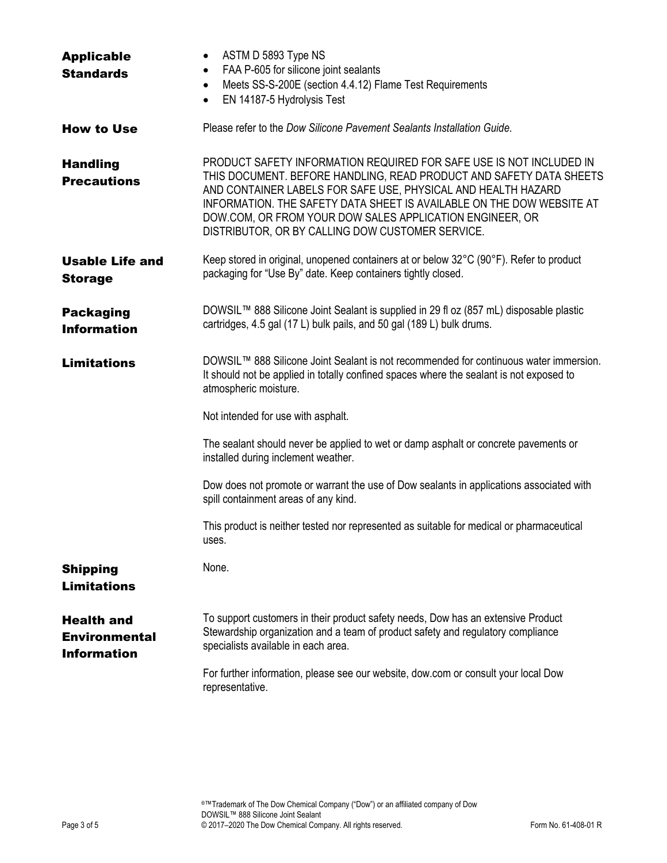| <b>Applicable</b>                                               | ASTM D 5893 Type NS<br>$\bullet$                                                                                                                                                                                                                                                                                                                                                                     |  |  |  |  |
|-----------------------------------------------------------------|------------------------------------------------------------------------------------------------------------------------------------------------------------------------------------------------------------------------------------------------------------------------------------------------------------------------------------------------------------------------------------------------------|--|--|--|--|
| <b>Standards</b>                                                | FAA P-605 for silicone joint sealants<br>$\bullet$                                                                                                                                                                                                                                                                                                                                                   |  |  |  |  |
|                                                                 | Meets SS-S-200E (section 4.4.12) Flame Test Requirements<br>$\bullet$                                                                                                                                                                                                                                                                                                                                |  |  |  |  |
|                                                                 | EN 14187-5 Hydrolysis Test<br>$\bullet$                                                                                                                                                                                                                                                                                                                                                              |  |  |  |  |
| <b>How to Use</b>                                               | Please refer to the Dow Silicone Pavement Sealants Installation Guide.                                                                                                                                                                                                                                                                                                                               |  |  |  |  |
| <b>Handling</b><br><b>Precautions</b>                           | PRODUCT SAFETY INFORMATION REQUIRED FOR SAFE USE IS NOT INCLUDED IN<br>THIS DOCUMENT. BEFORE HANDLING, READ PRODUCT AND SAFETY DATA SHEETS<br>AND CONTAINER LABELS FOR SAFE USE, PHYSICAL AND HEALTH HAZARD<br>INFORMATION. THE SAFETY DATA SHEET IS AVAILABLE ON THE DOW WEBSITE AT<br>DOW.COM, OR FROM YOUR DOW SALES APPLICATION ENGINEER, OR<br>DISTRIBUTOR, OR BY CALLING DOW CUSTOMER SERVICE. |  |  |  |  |
| <b>Usable Life and</b><br><b>Storage</b>                        | Keep stored in original, unopened containers at or below 32°C (90°F). Refer to product<br>packaging for "Use By" date. Keep containers tightly closed.                                                                                                                                                                                                                                               |  |  |  |  |
| <b>Packaging</b><br><b>Information</b>                          | DOWSIL™ 888 Silicone Joint Sealant is supplied in 29 fl oz (857 mL) disposable plastic<br>cartridges, 4.5 gal (17 L) bulk pails, and 50 gal (189 L) bulk drums.                                                                                                                                                                                                                                      |  |  |  |  |
| <b>Limitations</b>                                              | DOWSIL™ 888 Silicone Joint Sealant is not recommended for continuous water immersion.<br>It should not be applied in totally confined spaces where the sealant is not exposed to<br>atmospheric moisture.                                                                                                                                                                                            |  |  |  |  |
|                                                                 | Not intended for use with asphalt.                                                                                                                                                                                                                                                                                                                                                                   |  |  |  |  |
|                                                                 | The sealant should never be applied to wet or damp asphalt or concrete pavements or<br>installed during inclement weather.                                                                                                                                                                                                                                                                           |  |  |  |  |
|                                                                 | Dow does not promote or warrant the use of Dow sealants in applications associated with<br>spill containment areas of any kind.                                                                                                                                                                                                                                                                      |  |  |  |  |
|                                                                 | This product is neither tested nor represented as suitable for medical or pharmaceutical<br>uses.                                                                                                                                                                                                                                                                                                    |  |  |  |  |
| <b>Shipping</b><br><b>Limitations</b>                           | None.                                                                                                                                                                                                                                                                                                                                                                                                |  |  |  |  |
| <b>Health and</b><br><b>Environmental</b><br><b>Information</b> | To support customers in their product safety needs, Dow has an extensive Product<br>Stewardship organization and a team of product safety and regulatory compliance<br>specialists available in each area.                                                                                                                                                                                           |  |  |  |  |
|                                                                 | For further information, please see our website, dow.com or consult your local Dow<br>representative.                                                                                                                                                                                                                                                                                                |  |  |  |  |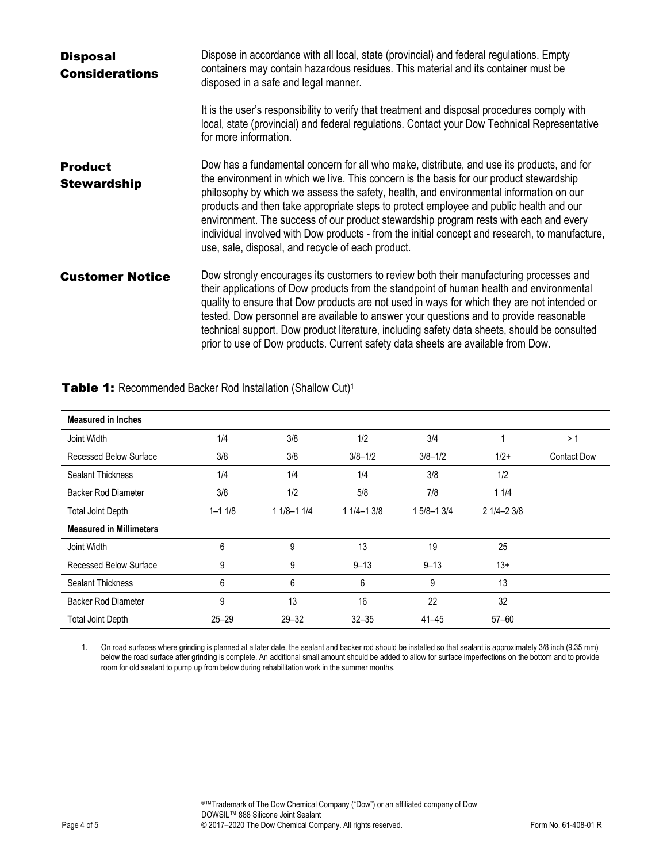| <b>Disposal</b><br><b>Considerations</b> | Dispose in accordance with all local, state (provincial) and federal regulations. Empty<br>containers may contain hazardous residues. This material and its container must be<br>disposed in a safe and legal manner.                                                                                                                                                                                                                                                                                                                                                                                                    |  |  |
|------------------------------------------|--------------------------------------------------------------------------------------------------------------------------------------------------------------------------------------------------------------------------------------------------------------------------------------------------------------------------------------------------------------------------------------------------------------------------------------------------------------------------------------------------------------------------------------------------------------------------------------------------------------------------|--|--|
|                                          | It is the user's responsibility to verify that treatment and disposal procedures comply with<br>local, state (provincial) and federal regulations. Contact your Dow Technical Representative<br>for more information.                                                                                                                                                                                                                                                                                                                                                                                                    |  |  |
| <b>Product</b><br><b>Stewardship</b>     | Dow has a fundamental concern for all who make, distribute, and use its products, and for<br>the environment in which we live. This concern is the basis for our product stewardship<br>philosophy by which we assess the safety, health, and environmental information on our<br>products and then take appropriate steps to protect employee and public health and our<br>environment. The success of our product stewardship program rests with each and every<br>individual involved with Dow products - from the initial concept and research, to manufacture,<br>use, sale, disposal, and recycle of each product. |  |  |
| <b>Customer Notice</b>                   | Dow strongly encourages its customers to review both their manufacturing processes and<br>their applications of Dow products from the standpoint of human health and environmental<br>quality to ensure that Dow products are not used in ways for which they are not intended or<br>tested. Dow personnel are available to answer your questions and to provide reasonable<br>technical support. Dow product literature, including safety data sheets, should be consulted<br>prior to use of Dow products. Current safety data sheets are available from Dow.                                                          |  |  |

| <b>Measured in Inches</b>      |            |               |               |               |               |                    |
|--------------------------------|------------|---------------|---------------|---------------|---------------|--------------------|
| Joint Width                    | 1/4        | 3/8           | 1/2           | 3/4           |               | >1                 |
| Recessed Below Surface         | 3/8        | 3/8           | $3/8 - 1/2$   | $3/8 - 1/2$   | $1/2+$        | <b>Contact Dow</b> |
| <b>Sealant Thickness</b>       | 1/4        | 1/4           | 1/4           | 3/8           | 1/2           |                    |
| Backer Rod Diameter            | 3/8        | 1/2           | 5/8           | 7/8           | 11/4          |                    |
| <b>Total Joint Depth</b>       | $1 - 11/8$ | $11/8 - 11/4$ | $11/4 - 13/8$ | $15/8 - 13/4$ | $21/4 - 23/8$ |                    |
| <b>Measured in Millimeters</b> |            |               |               |               |               |                    |
| Joint Width                    | 6          | 9             | 13            | 19            | 25            |                    |
| Recessed Below Surface         | 9          | 9             | $9 - 13$      | $9 - 13$      | $13+$         |                    |
| <b>Sealant Thickness</b>       | 6          | 6             | 6             | 9             | 13            |                    |
| <b>Backer Rod Diameter</b>     | 9          | 13            | 16            | 22            | 32            |                    |
| <b>Total Joint Depth</b>       | $25 - 29$  | $29 - 32$     | $32 - 35$     | $41 - 45$     | $57 - 60$     |                    |

Table 1: Recommended Backer Rod Installation (Shallow Cut)<sup>1</sup>

1. On road surfaces where grinding is planned at a later date, the sealant and backer rod should be installed so that sealant is approximately 3/8 inch (9.35 mm) below the road surface after grinding is complete. An additional small amount should be added to allow for surface imperfections on the bottom and to provide room for old sealant to pump up from below during rehabilitation work in the summer months.